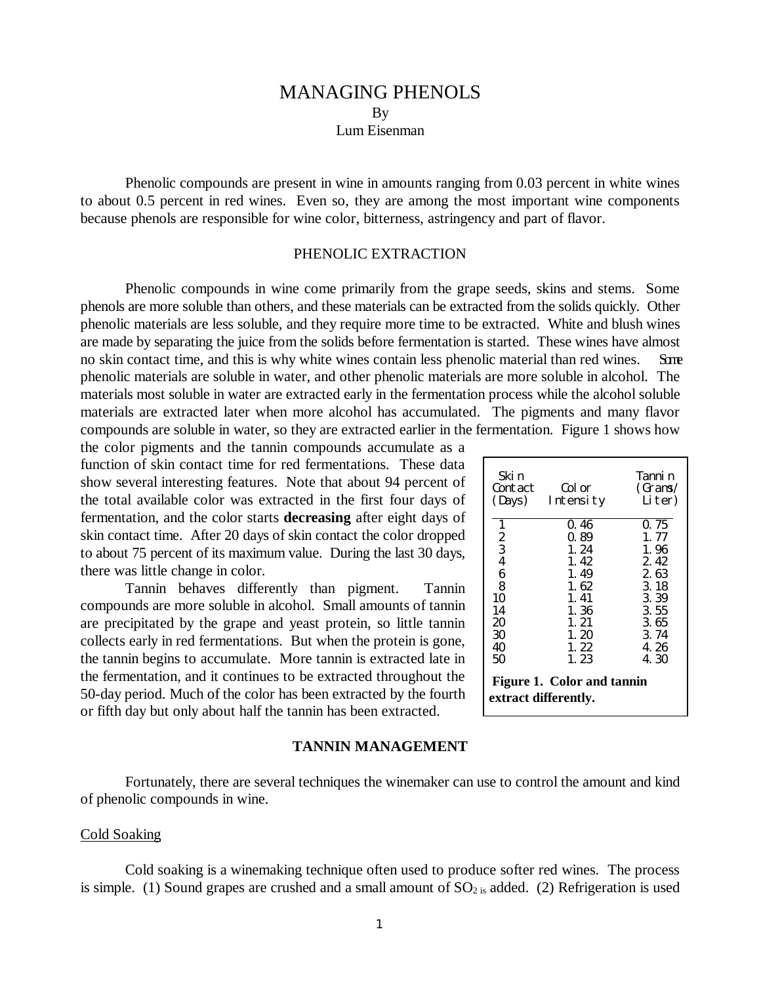# MANAGING PHENOLS By Lum Eisenman

Phenolic compounds are present in wine in amounts ranging from 0.03 percent in white wines to about 0.5 percent in red wines. Even so, they are among the most important wine components because phenols are responsible for wine color, bitterness, astringency and part of flavor.

#### PHENOLIC EXTRACTION

Phenolic compounds in wine come primarily from the grape seeds, skins and stems. Some phenols are more soluble than others, and these materials can be extracted from the solids quickly. Other phenolic materials are less soluble, and they require more time to be extracted. White and blush wines are made by separating the juice from the solids before fermentation is started. These wines have almost no skin contact time, and this is why white wines contain less phenolic material than red wines. Some phenolic materials are soluble in water, and other phenolic materials are more soluble in alcohol. The materials most soluble in water are extracted early in the fermentation process while the alcohol soluble materials are extracted later when more alcohol has accumulated. The pigments and many flavor compounds are soluble in water, so they are extracted earlier in the fermentation. Figure 1 shows how

the color pigments and the tannin compounds accumulate as a function of skin contact time for red fermentations. These data show several interesting features. Note that about 94 percent of the total available color was extracted in the first four days of fermentation, and the color starts **decreasing** after eight days of skin contact time. After 20 days of skin contact the color dropped to about 75 percent of its maximum value. During the last 30 days, there was little change in color.

Tannin behaves differently than pigment. Tannin compounds are more soluble in alcohol. Small amounts of tannin are precipitated by the grape and yeast protein, so little tannin collects early in red fermentations. But when the protein is gone, the tannin begins to accumulate. More tannin is extracted late in the fermentation, and it continues to be extracted throughout the 50-day period. Much of the color has been extracted by the fourth or fifth day but only about half the tannin has been extracted.

| Ski n<br>Contact<br>(Days)                                                    | Col or<br>Intensity                                                                          | Tanni n<br>(Grams/<br>Liter)                                                                 |
|-------------------------------------------------------------------------------|----------------------------------------------------------------------------------------------|----------------------------------------------------------------------------------------------|
| $\frac{2}{3}$<br>$\overline{4}$<br>6<br>8<br>10<br>14<br>20<br>30<br>40<br>50 | 0.46<br>0.89<br>1.24<br>1.42<br>1.49<br>1.62<br>1.41<br>1.36<br>1.21<br>1.20<br>1.22<br>1.23 | 0.75<br>1.77<br>1.96<br>2.42<br>2.63<br>3.18<br>3.39<br>3.55<br>3.65<br>3.74<br>4.26<br>4.30 |
| <b>Figure 1. Color and tannin</b><br>extract differently.                     |                                                                                              |                                                                                              |

#### **TANNIN MANAGEMENT**

Fortunately, there are several techniques the winemaker can use to control the amount and kind of phenolic compounds in wine.

#### Cold Soaking

Cold soaking is a winemaking technique often used to produce softer red wines. The process is simple. (1) Sound grapes are crushed and a small amount of  $SO_{2}$  is added. (2) Refrigeration is used